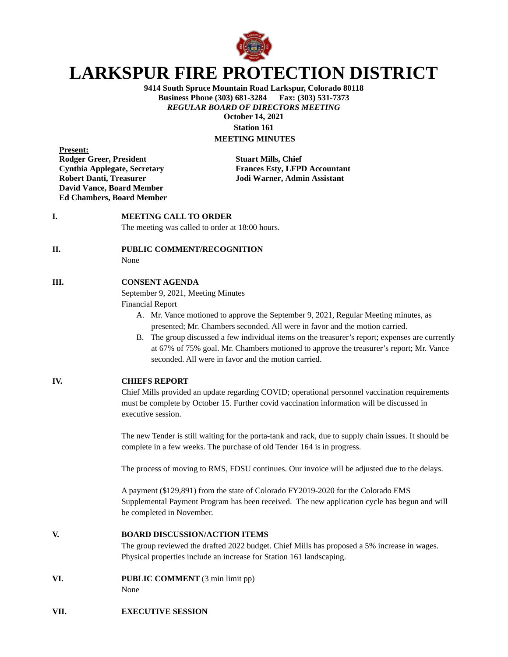

# **LARKSPUR FIRE PROTECTION DISTRICT**

**9414 South Spruce Mountain Road Larkspur, Colorado 80118 Business Phone (303) 681-3284** *REGULAR BOARD OF DIRECTORS MEETING* **October 14, 2021 Station 161**

## **MEETING MINUTES**

**Present: Rodger Greer, President Stuart Mills, Chief David Vance, Board Member Ed Chambers, Board Member**

**Cynthia Applegate, Secretary Frances Esty, LFPD Accountant Robert Danti, Treasurer Jodi Warner, Admin Assistant**

#### **I. MEETING CALL TO ORDER**

The meeting was called to order at 18:00 hours.

#### **II. PUBLIC COMMENT/RECOGNITION**

None

#### **III. CONSENT AGENDA**

September 9, 2021, Meeting Minutes

Financial Report

- A. Mr. Vance motioned to approve the September 9, 2021, Regular Meeting minutes, as presented; Mr. Chambers seconded. All were in favor and the motion carried.
- B. The group discussed a few individual items on the treasurer's report; expenses are currently at 67% of 75% goal. Mr. Chambers motioned to approve the treasurer's report; Mr. Vance seconded. All were in favor and the motion carried.

#### **IV. CHIEFS REPORT**

Chief Mills provided an update regarding COVID; operational personnel vaccination requirements must be complete by October 15. Further covid vaccination information will be discussed in executive session.

The new Tender is still waiting for the porta-tank and rack, due to supply chain issues. It should be complete in a few weeks. The purchase of old Tender 164 is in progress.

The process of moving to RMS, FDSU continues. Our invoice will be adjusted due to the delays.

A payment (\$129,891) from the state of Colorado FY2019-2020 for the Colorado EMS Supplemental Payment Program has been received. The new application cycle has begun and will be completed in November.

**V. BOARD DISCUSSION/ACTION ITEMS**

The group reviewed the drafted 2022 budget. Chief Mills has proposed a 5% increase in wages. Physical properties include an increase for Station 161 landscaping.

**VI. PUBLIC COMMENT** (3 min limit pp)

None

### **VII. EXECUTIVE SESSION**